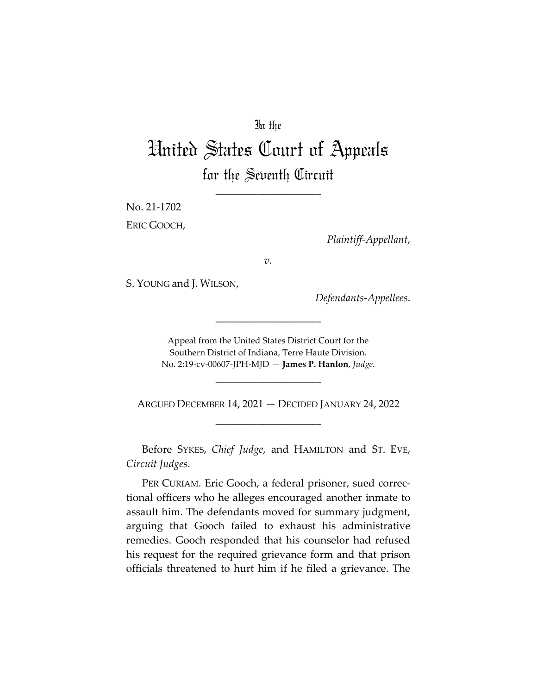## In the

## United States Court of Appeals for the Seventh Circuit

\_\_\_\_\_\_\_\_\_\_\_\_\_\_\_\_\_\_\_\_

No. 21-1702 ERIC GOOCH,

*Plaintiff-Appellant*,

*v.*

S. YOUNG and J. WILSON,

*Defendants-Appellees*.

Appeal from the United States District Court for the Southern District of Indiana, Terre Haute Division. No. 2:19-cv-00607-JPH-MJD — **James P. Hanlon**, *Judge*.

\_\_\_\_\_\_\_\_\_\_\_\_\_\_\_\_\_\_\_\_

\_\_\_\_\_\_\_\_\_\_\_\_\_\_\_\_\_\_\_\_

ARGUED DECEMBER 14, 2021 — DECIDED JANUARY 24, 2022 \_\_\_\_\_\_\_\_\_\_\_\_\_\_\_\_\_\_\_\_

Before SYKES, *Chief Judge*, and HAMILTON and ST. EVE, *Circuit Judges*.

PER CURIAM. Eric Gooch, a federal prisoner, sued correctional officers who he alleges encouraged another inmate to assault him. The defendants moved for summary judgment, arguing that Gooch failed to exhaust his administrative remedies. Gooch responded that his counselor had refused his request for the required grievance form and that prison officials threatened to hurt him if he filed a grievance. The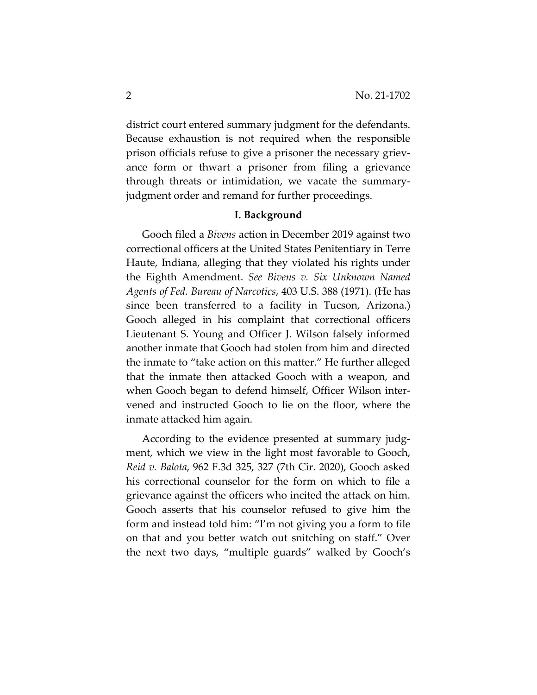district court entered summary judgment for the defendants. Because exhaustion is not required when the responsible prison officials refuse to give a prisoner the necessary grievance form or thwart a prisoner from filing a grievance through threats or intimidation, we vacate the summaryjudgment order and remand for further proceedings.

## **I. Background**

Gooch filed a *Bivens* action in December 2019 against two correctional officers at the United States Penitentiary in Terre Haute, Indiana, alleging that they violated his rights under the Eighth Amendment. *See Bivens v. Six Unknown Named Agents of Fed. Bureau of Narcotics*, 403 U.S. 388 (1971). (He has since been transferred to a facility in Tucson, Arizona.) Gooch alleged in his complaint that correctional officers Lieutenant S. Young and Officer J. Wilson falsely informed another inmate that Gooch had stolen from him and directed the inmate to "take action on this matter." He further alleged that the inmate then attacked Gooch with a weapon, and when Gooch began to defend himself, Officer Wilson intervened and instructed Gooch to lie on the floor, where the inmate attacked him again.

According to the evidence presented at summary judgment, which we view in the light most favorable to Gooch, *Reid v. Balota*, 962 F.3d 325, 327 (7th Cir. 2020), Gooch asked his correctional counselor for the form on which to file a grievance against the officers who incited the attack on him. Gooch asserts that his counselor refused to give him the form and instead told him: "I'm not giving you a form to file on that and you better watch out snitching on staff." Over the next two days, "multiple guards" walked by Gooch's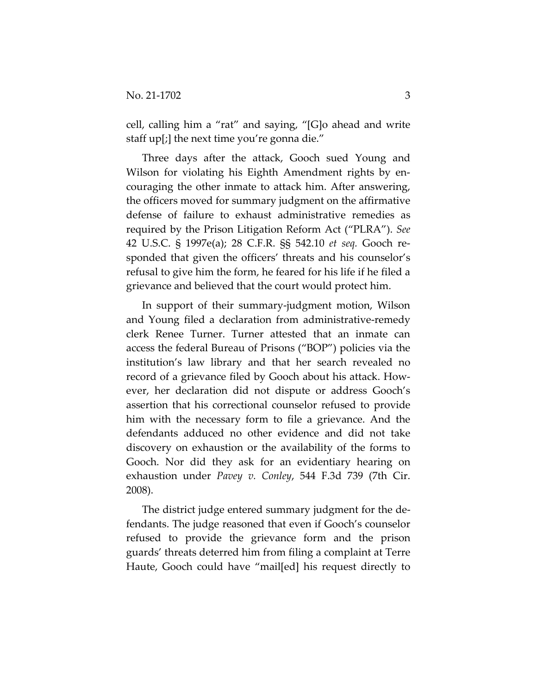cell, calling him a "rat" and saying, "[G]o ahead and write staff up[;] the next time you're gonna die."

Three days after the attack, Gooch sued Young and Wilson for violating his Eighth Amendment rights by encouraging the other inmate to attack him. After answering, the officers moved for summary judgment on the affirmative defense of failure to exhaust administrative remedies as required by the Prison Litigation Reform Act ("PLRA"). *See* 42 U.S.C. § 1997e(a); 28 C.F.R. §§ 542.10 *et seq.* Gooch responded that given the officers' threats and his counselor's refusal to give him the form, he feared for his life if he filed a grievance and believed that the court would protect him.

In support of their summary-judgment motion, Wilson and Young filed a declaration from administrative-remedy clerk Renee Turner. Turner attested that an inmate can access the federal Bureau of Prisons ("BOP") policies via the institution's law library and that her search revealed no record of a grievance filed by Gooch about his attack. However, her declaration did not dispute or address Gooch's assertion that his correctional counselor refused to provide him with the necessary form to file a grievance. And the defendants adduced no other evidence and did not take discovery on exhaustion or the availability of the forms to Gooch. Nor did they ask for an evidentiary hearing on exhaustion under *Pavey v. Conley*, 544 F.3d 739 (7th Cir. 2008).

The district judge entered summary judgment for the defendants. The judge reasoned that even if Gooch's counselor refused to provide the grievance form and the prison guards' threats deterred him from filing a complaint at Terre Haute, Gooch could have "mail[ed] his request directly to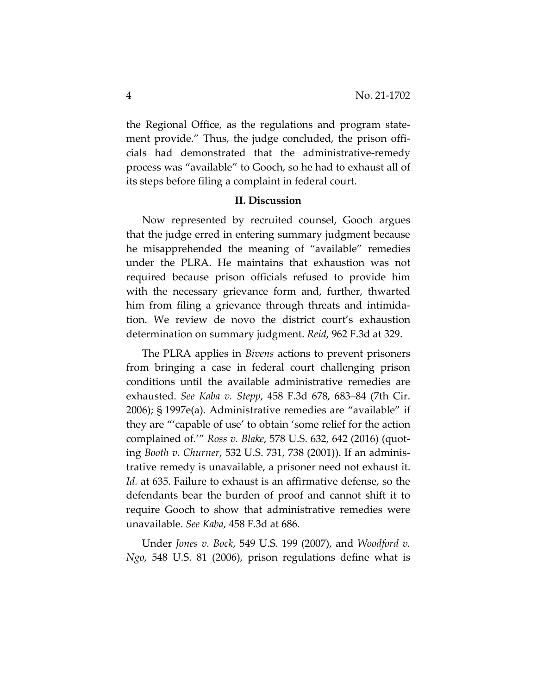the Regional Office, as the regulations and program statement provide." Thus, the judge concluded, the prison officials had demonstrated that the administrative-remedy process was "available" to Gooch, so he had to exhaust all of its steps before filing a complaint in federal court.

## **II. Discussion**

Now represented by recruited counsel, Gooch argues that the judge erred in entering summary judgment because he misapprehended the meaning of "available" remedies under the PLRA. He maintains that exhaustion was not required because prison officials refused to provide him with the necessary grievance form and, further, thwarted him from filing a grievance through threats and intimidation. We review de novo the district court's exhaustion determination on summary judgment. *Reid*, 962 F.3d at 329.

The PLRA applies in *Bivens* actions to prevent prisoners from bringing a case in federal court challenging prison conditions until the available administrative remedies are exhausted. *See Kaba v. Stepp*, 458 F.3d 678, 683–84 (7th Cir. 2006); § 1997e(a). Administrative remedies are "available" if they are "'capable of use' to obtain 'some relief for the action complained of.'" *Ross v. Blake*, 578 U.S. 632, 642 (2016) (quoting *Booth v. Churner*, 532 U.S. 731, 738 (2001)). If an administrative remedy is unavailable, a prisoner need not exhaust it. *Id.* at 635. Failure to exhaust is an affirmative defense, so the defendants bear the burden of proof and cannot shift it to require Gooch to show that administrative remedies were unavailable. *See Kaba*, 458 F.3d at 686.

Under *Jones v. Bock*, 549 U.S. 199 (2007), and *Woodford v. Ngo*, 548 U.S. 81 (2006), prison regulations define what is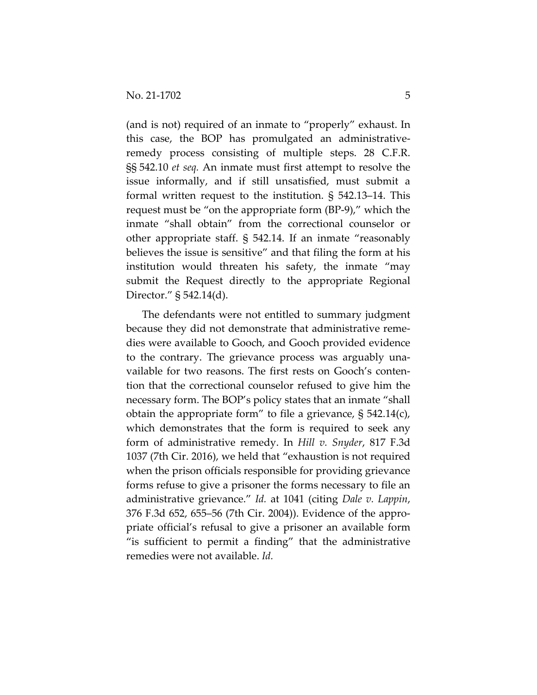(and is not) required of an inmate to "properly" exhaust. In this case, the BOP has promulgated an administrativeremedy process consisting of multiple steps. 28 C.F.R. §§ 542.10 *et seq.* An inmate must first attempt to resolve the issue informally, and if still unsatisfied, must submit a formal written request to the institution. § 542.13–14. This request must be "on the appropriate form (BP-9)," which the inmate "shall obtain" from the correctional counselor or other appropriate staff. § 542.14. If an inmate "reasonably believes the issue is sensitive" and that filing the form at his institution would threaten his safety, the inmate "may submit the Request directly to the appropriate Regional Director." § 542.14(d).

The defendants were not entitled to summary judgment because they did not demonstrate that administrative remedies were available to Gooch, and Gooch provided evidence to the contrary. The grievance process was arguably unavailable for two reasons. The first rests on Gooch's contention that the correctional counselor refused to give him the necessary form. The BOP's policy states that an inmate "shall obtain the appropriate form" to file a grievance,  $\S$  542.14(c), which demonstrates that the form is required to seek any form of administrative remedy. In *Hill v. Snyder*, 817 F.3d 1037 (7th Cir. 2016), we held that "exhaustion is not required when the prison officials responsible for providing grievance forms refuse to give a prisoner the forms necessary to file an administrative grievance." *Id.* at 1041 (citing *Dale v. Lappin*, 376 F.3d 652, 655–56 (7th Cir. 2004)). Evidence of the appropriate official's refusal to give a prisoner an available form "is sufficient to permit a finding" that the administrative remedies were not available. *Id.*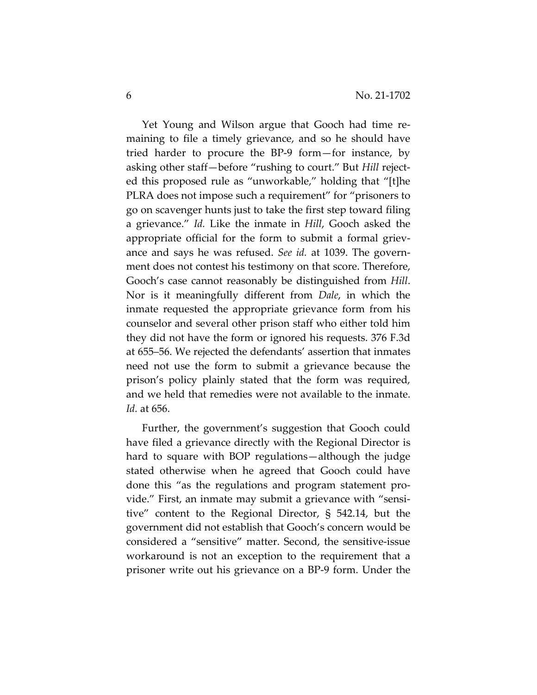Yet Young and Wilson argue that Gooch had time remaining to file a timely grievance, and so he should have tried harder to procure the BP-9 form—for instance, by asking other staff—before "rushing to court." But *Hill* rejected this proposed rule as "unworkable," holding that "[t]he PLRA does not impose such a requirement" for "prisoners to go on scavenger hunts just to take the first step toward filing a grievance." *Id.* Like the inmate in *Hill*, Gooch asked the appropriate official for the form to submit a formal grievance and says he was refused. *See id.* at 1039. The government does not contest his testimony on that score. Therefore, Gooch's case cannot reasonably be distinguished from *Hill*. Nor is it meaningfully different from *Dale*, in which the inmate requested the appropriate grievance form from his counselor and several other prison staff who either told him they did not have the form or ignored his requests. 376 F.3d at 655–56. We rejected the defendants' assertion that inmates need not use the form to submit a grievance because the prison's policy plainly stated that the form was required, and we held that remedies were not available to the inmate. *Id.* at 656.

Further, the government's suggestion that Gooch could have filed a grievance directly with the Regional Director is hard to square with BOP regulations—although the judge stated otherwise when he agreed that Gooch could have done this "as the regulations and program statement provide." First, an inmate may submit a grievance with "sensitive" content to the Regional Director, § 542.14, but the government did not establish that Gooch's concern would be considered a "sensitive" matter. Second, the sensitive-issue workaround is not an exception to the requirement that a prisoner write out his grievance on a BP-9 form. Under the